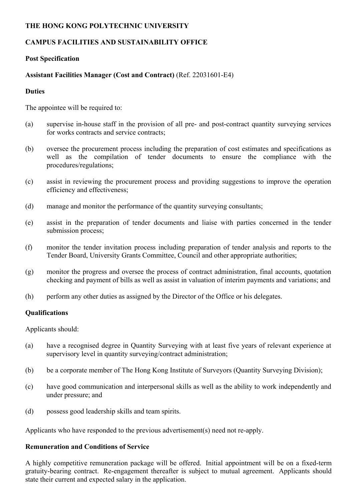#### **THE HONG KONG POLYTECHNIC UNIVERSITY**

# **CAMPUS FACILITIES AND SUSTAINABILITY OFFICE**

### **Post Specification**

## **Assistant Facilities Manager (Cost and Contract)** (Ref. 22031601-E4)

#### **Duties**

The appointee will be required to:

- (a) supervise in-house staff in the provision of all pre- and post-contract quantity surveying services for works contracts and service contracts;
- (b) oversee the procurement process including the preparation of cost estimates and specifications as well as the compilation of tender documents to ensure the compliance with the procedures/regulations;
- (c) assist in reviewing the procurement process and providing suggestions to improve the operation efficiency and effectiveness;
- (d) manage and monitor the performance of the quantity surveying consultants;
- (e) assist in the preparation of tender documents and liaise with parties concerned in the tender submission process;
- (f) monitor the tender invitation process including preparation of tender analysis and reports to the Tender Board, University Grants Committee, Council and other appropriate authorities;
- (g) monitor the progress and oversee the process of contract administration, final accounts, quotation checking and payment of bills as well as assist in valuation of interim payments and variations; and
- (h) perform any other duties as assigned by the Director of the Office or his delegates.

### **Qualifications**

Applicants should:

- (a) have a recognised degree in Quantity Surveying with at least five years of relevant experience at supervisory level in quantity surveying/contract administration;
- (b) be a corporate member of The Hong Kong Institute of Surveyors (Quantity Surveying Division);
- (c) have good communication and interpersonal skills as well as the ability to work independently and under pressure; and
- (d) possess good leadership skills and team spirits.

Applicants who have responded to the previous advertisement(s) need not re-apply.

### **Remuneration and Conditions of Service**

A highly competitive remuneration package will be offered. Initial appointment will be on a fixed-term gratuity-bearing contract. Re-engagement thereafter is subject to mutual agreement. Applicants should state their current and expected salary in the application.